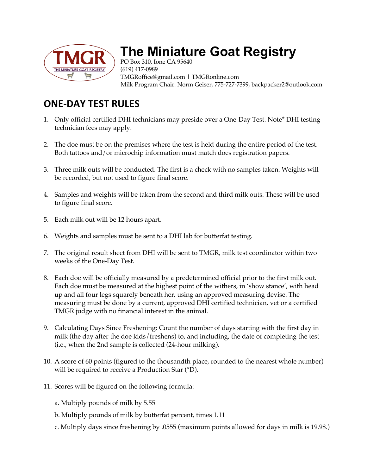

## **The Miniature Goat Registry**

PO Box 310, Ione CA 95640 (619) 417-0989 TMGRoffice@gmail.com | TMGRonline.com Milk Program Chair: Norm Geiser, 775-727-7399, backpacker2@outlook.com

## **ONE-DAY TEST RULES**

- 1. Only official certified DHI technicians may preside over a One-Day Test. Note\* DHI testing technician fees may apply.
- 2. The doe must be on the premises where the test is held during the entire period of the test. Both tattoos and/or microchip information must match does registration papers.
- 3. Three milk outs will be conducted. The first is a check with no samples taken. Weights will be recorded, but not used to figure final score.
- 4. Samples and weights will be taken from the second and third milk outs. These will be used to figure final score.
- 5. Each milk out will be 12 hours apart.
- 6. Weights and samples must be sent to a DHI lab for butterfat testing.
- 7. The original result sheet from DHI will be sent to TMGR, milk test coordinator within two weeks of the One-Day Test.
- 8. Each doe will be officially measured by a predetermined official prior to the first milk out. Each doe must be measured at the highest point of the withers, in 'show stance', with head up and all four legs squarely beneath her, using an approved measuring devise. The measuring must be done by a current, approved DHI certified technician, vet or a certified TMGR judge with no financial interest in the animal.
- 9. Calculating Days Since Freshening: Count the number of days starting with the first day in milk (the day after the doe kids/freshens) to, and including, the date of completing the test (i.e., when the 2nd sample is collected (24-hour milking).
- 10. A score of 60 points (figured to the thousandth place, rounded to the nearest whole number) will be required to receive a Production Star (\*D).
- 11. Scores will be figured on the following formula:
	- a. Multiply pounds of milk by 5.55
	- b. Multiply pounds of milk by butterfat percent, times 1.11
	- c. Multiply days since freshening by .0555 (maximum points allowed for days in milk is 19.98.)